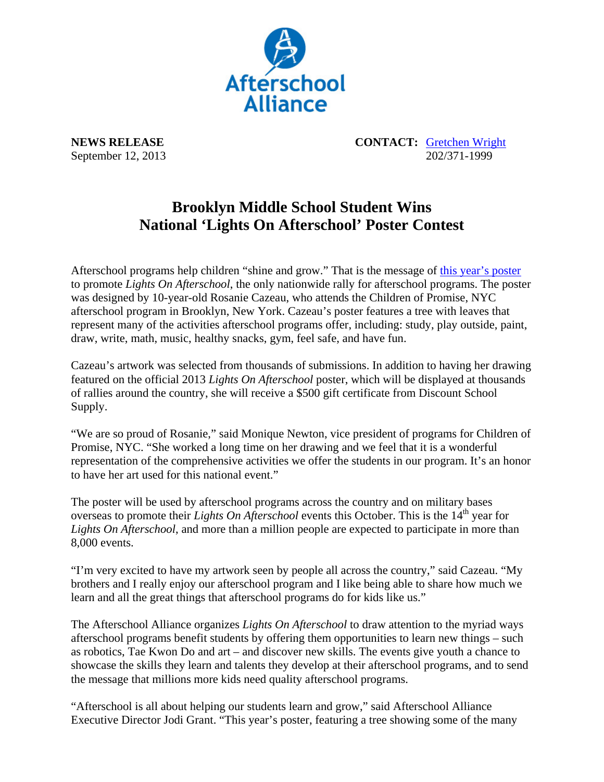

**NEWS RELEASE CONTACT:** Gretchen Wright September 12, 2013 202/371-1999

## **Brooklyn Middle School Student Wins National 'Lights On Afterschool' Poster Contest**

Afterschool programs help children "shine and grow." That is the message of this year's poster to promote *Lights On Afterschool*, the only nationwide rally for afterschool programs. The poster was designed by 10-year-old Rosanie Cazeau, who attends the Children of Promise, NYC afterschool program in Brooklyn, New York. Cazeau's poster features a tree with leaves that represent many of the activities afterschool programs offer, including: study, play outside, paint, draw, write, math, music, healthy snacks, gym, feel safe, and have fun.

Cazeau's artwork was selected from thousands of submissions. In addition to having her drawing featured on the official 2013 *Lights On Afterschool* poster, which will be displayed at thousands of rallies around the country, she will receive a \$500 gift certificate from Discount School Supply.

"We are so proud of Rosanie," said Monique Newton, vice president of programs for Children of Promise, NYC. "She worked a long time on her drawing and we feel that it is a wonderful representation of the comprehensive activities we offer the students in our program. It's an honor to have her art used for this national event."

The poster will be used by afterschool programs across the country and on military bases overseas to promote their *Lights On Afterschool* events this October. This is the 14<sup>th</sup> year for *Lights On Afterschool*, and more than a million people are expected to participate in more than 8,000 events.

"I'm very excited to have my artwork seen by people all across the country," said Cazeau. "My brothers and I really enjoy our afterschool program and I like being able to share how much we learn and all the great things that afterschool programs do for kids like us."

The Afterschool Alliance organizes *Lights On Afterschool* to draw attention to the myriad ways afterschool programs benefit students by offering them opportunities to learn new things – such as robotics, Tae Kwon Do and art – and discover new skills. The events give youth a chance to showcase the skills they learn and talents they develop at their afterschool programs, and to send the message that millions more kids need quality afterschool programs.

"Afterschool is all about helping our students learn and grow," said Afterschool Alliance Executive Director Jodi Grant. "This year's poster, featuring a tree showing some of the many